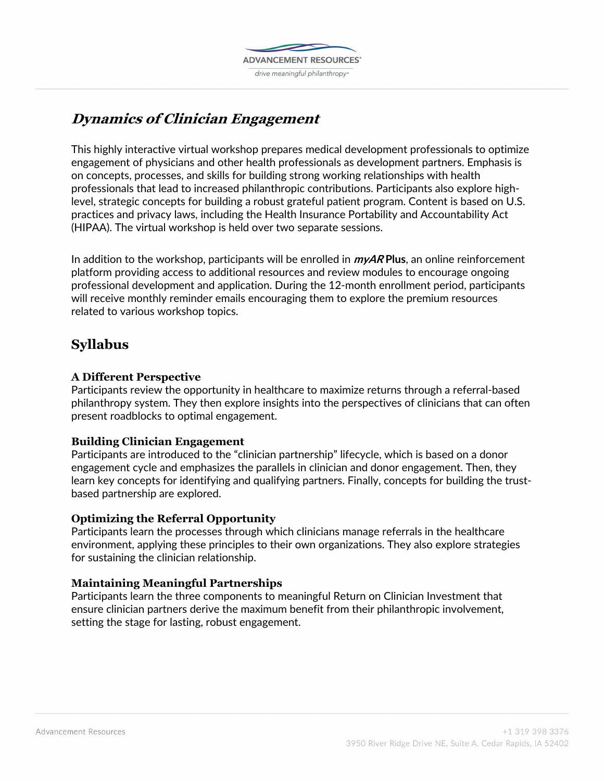

# **Dynamics of Clinician Engagement**

This highly interactive virtual workshop prepares medical development professionals to optimize engagement of physicians and other health professionals as development partners. Emphasis is on concepts, processes, and skills for building strong working relationships with health professionals that lead to increased philanthropic contributions. Participants also explore highlevel, strategic concepts for building a robust grateful patient program. Content is based on U.S. practices and privacy laws, including the Health Insurance Portability and Accountability Act (HIPAA). The virtual workshop is held over two separate sessions.

In addition to the workshop, participants will be enrolled in **myAR Plus**, an online reinforcement platform providing access to additional resources and review modules to encourage ongoing professional development and application. During the 12-month enrollment period, participants will receive monthly reminder emails encouraging them to explore the premium resources related to various workshop topics.

# **Syllabus**

## **A Different Perspective**

Participants review the opportunity in healthcare to maximize returns through a referral-based philanthropy system. They then explore insights into the perspectives of clinicians that can often present roadblocks to optimal engagement.

### **Building Clinician Engagement**

Participants are introduced to the "clinician partnership" lifecycle, which is based on a donor engagement cycle and emphasizes the parallels in clinician and donor engagement. Then, they learn key concepts for identifying and qualifying partners. Finally, concepts for building the trustbased partnership are explored.

### **Optimizing the Referral Opportunity**

Participants learn the processes through which clinicians manage referrals in the healthcare environment, applying these principles to their own organizations. They also explore strategies for sustaining the clinician relationship.

### **Maintaining Meaningful Partnerships**

Participants learn the three components to meaningful Return on Clinician Investment that ensure clinician partners derive the maximum benefit from their philanthropic involvement, setting the stage for lasting, robust engagement.